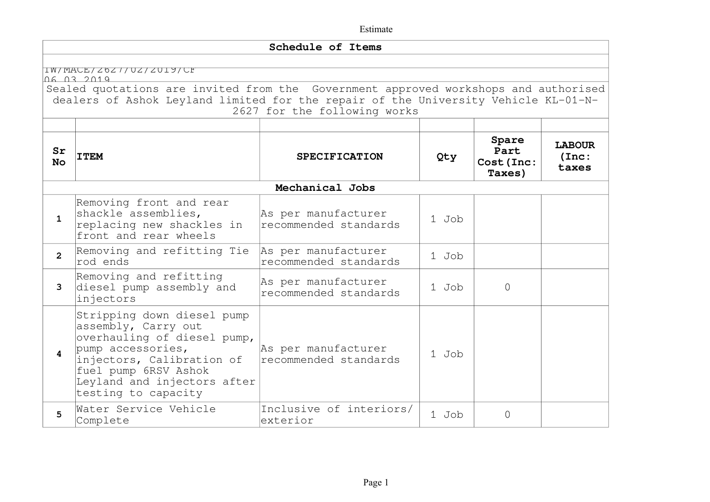|                 |                                                                                                                                                                                                                    | Schedule of Items                            |       |                                       |                                 |
|-----------------|--------------------------------------------------------------------------------------------------------------------------------------------------------------------------------------------------------------------|----------------------------------------------|-------|---------------------------------------|---------------------------------|
|                 | IW/MACE/Z0Z7/UZ/ZUI9/CF<br>06 03 2019<br>Sealed quotations are invited from the Government approved workshops and authorised<br>dealers of Ashok Leyland limited for the repair of the University Vehicle KL-01-N- | 2627 for the following works                 |       |                                       |                                 |
| Sr<br><b>No</b> | <b>ITEM</b>                                                                                                                                                                                                        | <b>SPECIFICATION</b>                         | Qty   | Spare<br>Part<br>Cost (Inc:<br>Taxes) | <b>LABOUR</b><br>(Inc:<br>taxes |
|                 |                                                                                                                                                                                                                    | Mechanical Jobs                              |       |                                       |                                 |
| $\mathbf{1}$    | Removing front and rear<br>shackle assemblies,<br>replacing new shackles in<br>front and rear wheels                                                                                                               | As per manufacturer<br>recommended standards | 1 Job |                                       |                                 |
| $\overline{2}$  | Removing and refitting Tie<br>rod ends                                                                                                                                                                             | As per manufacturer<br>recommended standards | 1 Job |                                       |                                 |
| 3               | Removing and refitting<br>diesel pump assembly and<br>injectors                                                                                                                                                    | As per manufacturer<br>recommended standards | 1 Job | 0                                     |                                 |
| 4               | Stripping down diesel pump<br>assembly, Carry out<br>overhauling of diesel pump,<br>pump accessories,<br>injectors, Calibration of<br>fuel pump 6RSV Ashok<br>Leyland and injectors after<br>testing to capacity   | As per manufacturer<br>recommended standards | 1 Job |                                       |                                 |
| 5               | Water Service Vehicle<br>Complete                                                                                                                                                                                  | Inclusive of interiors/<br>exterior          | 1 Job | $\Omega$                              |                                 |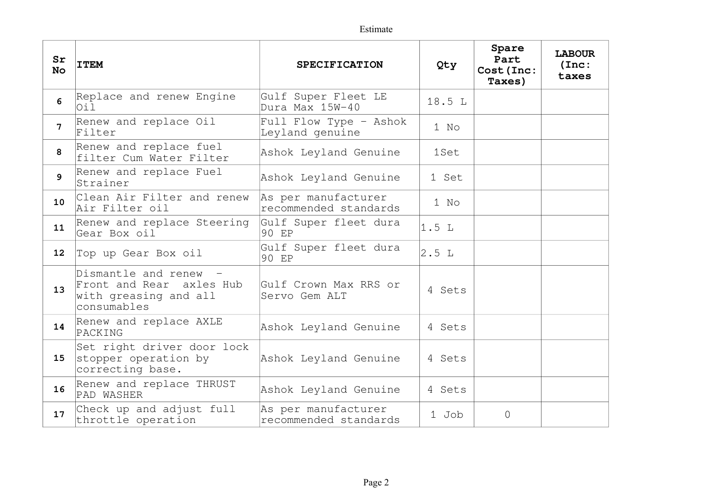| Sr<br><b>No</b> | <b>ITEM</b>                                                                             | <b>SPECIFICATION</b>                         | Qty    | Spare<br>Part<br>Cost (Inc:<br>Taxes) | <b>LABOUR</b><br>(Inc:<br>taxes |
|-----------------|-----------------------------------------------------------------------------------------|----------------------------------------------|--------|---------------------------------------|---------------------------------|
| 6               | Replace and renew Engine<br>Oil                                                         | Gulf Super Fleet LE<br>Dura Max 15W-40       | 18.5 L |                                       |                                 |
| 7               | Renew and replace Oil<br>Filter                                                         | Full Flow Type - Ashok<br>Leyland genuine    | 1 No   |                                       |                                 |
| 8               | Renew and replace fuel<br>filter Cum Water Filter                                       | Ashok Leyland Genuine                        | 1Set   |                                       |                                 |
| 9               | Renew and replace Fuel<br>Strainer                                                      | Ashok Leyland Genuine                        | 1 Set  |                                       |                                 |
| 10              | Clean Air Filter and renew<br>Air Filter oil                                            | As per manufacturer<br>recommended standards | 1 No   |                                       |                                 |
| 11              | Renew and replace Steering<br>Gear Box oil                                              | Gulf Super fleet dura<br>90 EP               | 1.5L   |                                       |                                 |
| 12 <sup>2</sup> | Top up Gear Box oil                                                                     | Gulf Super fleet dura<br>90 EP               | 2.5L   |                                       |                                 |
| 13              | Dismantle and renew<br>Front and Rear axles Hub<br>with greasing and all<br>consumables | Gulf Crown Max RRS or<br>Servo Gem ALT       | 4 Sets |                                       |                                 |
| 14              | Renew and replace AXLE<br>PACKING                                                       | Ashok Leyland Genuine                        | 4 Sets |                                       |                                 |
| 15              | Set right driver door lock<br>stopper operation by<br>correcting base.                  | Ashok Leyland Genuine                        | 4 Sets |                                       |                                 |
| 16              | Renew and replace THRUST<br>PAD WASHER                                                  | Ashok Leyland Genuine                        | 4 Sets |                                       |                                 |
| 17              | Check up and adjust full<br>throttle operation                                          | As per manufacturer<br>recommended standards | 1 Job  | 0                                     |                                 |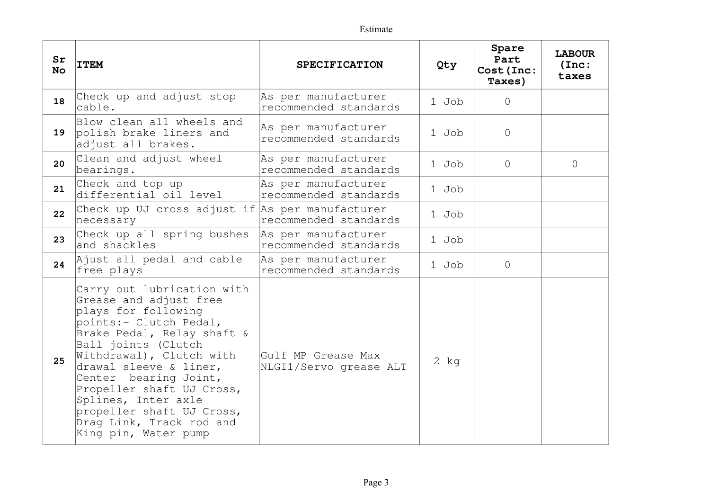| Sr<br><b>No</b> | <b>ITEM</b>                                                                                                                                                                                                                                                                                                                                                                    | <b>SPECIFICATION</b>                         |        | Spare<br>Part<br>Cost (Inc:<br>Taxes) | <b>LABOUR</b><br>(Inc:<br>taxes |
|-----------------|--------------------------------------------------------------------------------------------------------------------------------------------------------------------------------------------------------------------------------------------------------------------------------------------------------------------------------------------------------------------------------|----------------------------------------------|--------|---------------------------------------|---------------------------------|
| 18              | Check up and adjust stop<br>cable.                                                                                                                                                                                                                                                                                                                                             | As per manufacturer<br>recommended standards | 1 Job  | $\Omega$                              |                                 |
| 19              | Blow clean all wheels and<br>polish brake liners and<br>adjust all brakes.                                                                                                                                                                                                                                                                                                     | As per manufacturer<br>recommended standards | 1 Job  | $\circ$                               |                                 |
| 20              | Clean and adjust wheel<br>bearings.                                                                                                                                                                                                                                                                                                                                            | As per manufacturer<br>recommended standards | 1 Job  | $\Omega$                              | $\Omega$                        |
| 21              | Check and top up<br>differential oil level                                                                                                                                                                                                                                                                                                                                     | As per manufacturer<br>recommended standards | 1 Job  |                                       |                                 |
| 22              | Check up UJ cross adjust if As per manufacturer<br>necessary                                                                                                                                                                                                                                                                                                                   | recommended standards                        | 1 Job  |                                       |                                 |
| 23              | Check up all spring bushes<br>and shackles                                                                                                                                                                                                                                                                                                                                     | As per manufacturer<br>recommended standards | 1 Job  |                                       |                                 |
| 24              | Ajust all pedal and cable<br>free plays                                                                                                                                                                                                                                                                                                                                        | As per manufacturer<br>recommended standards | 1 Job  | $\circ$                               |                                 |
| 25              | Carry out lubrication with<br>Grease and adjust free<br>plays for following<br>points:- Clutch Pedal,<br>Brake Pedal, Relay shaft &<br>Ball joints (Clutch<br>Withdrawal), Clutch with<br>drawal sleeve & liner,<br>Center bearing Joint,<br>Propeller shaft UJ Cross,<br>Splines, Inter axle<br>propeller shaft UJ Cross,<br>Drag Link, Track rod and<br>King pin, Water pump | Gulf MP Grease Max<br>NLGI1/Servo grease ALT | $2$ kg |                                       |                                 |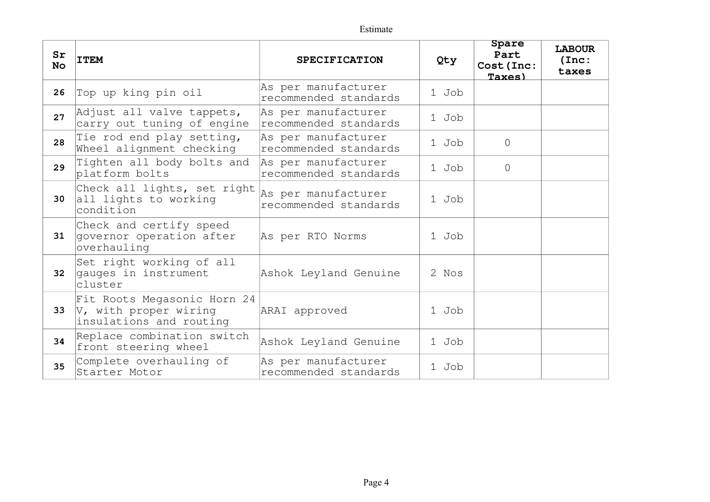| Sr<br><b>No</b> | <b>ITEM</b>                                                                         | <b>SPECIFICATION</b><br>Qty                  |       | Spare<br>Part<br>Cost (Inc:<br>Taxes) | <b>LABOUR</b><br>(Inc:<br>taxes |
|-----------------|-------------------------------------------------------------------------------------|----------------------------------------------|-------|---------------------------------------|---------------------------------|
| 26              | Top up king pin oil                                                                 | As per manufacturer<br>recommended standards | 1 Job |                                       |                                 |
| 27              | Adjust all valve tappets,<br>carry out tuning of engine                             | As per manufacturer<br>recommended standards | 1 Job |                                       |                                 |
| 28              | Tie rod end play setting,<br>Wheel alignment checking                               | As per manufacturer<br>recommended standards | 1 Job | $\Omega$                              |                                 |
| 29              | Tighten all body bolts and<br>platform bolts                                        | As per manufacturer<br>recommended standards | 1 Job | $\Omega$                              |                                 |
| 30              | Check all lights, set right<br>all lights to working<br>condition                   | As per manufacturer<br>recommended standards | 1 Job |                                       |                                 |
| 31              | Check and certify speed<br>governor operation after<br>overhauling                  | As per RTO Norms                             | 1 Job |                                       |                                 |
| 32              | Set right working of all<br>gauges in instrument<br>cluster                         | Ashok Leyland Genuine                        | 2 Nos |                                       |                                 |
| 33              | Fit Roots Megasonic Horn 24<br>$ V$ , with proper wiring<br>insulations and routing | ARAI approved                                | 1 Job |                                       |                                 |
| 34              | Replace combination switch<br>front steering wheel                                  | Ashok Leyland Genuine                        | 1 Job |                                       |                                 |
| 35              | Complete overhauling of<br>Starter Motor                                            | As per manufacturer<br>recommended standards | 1 Job |                                       |                                 |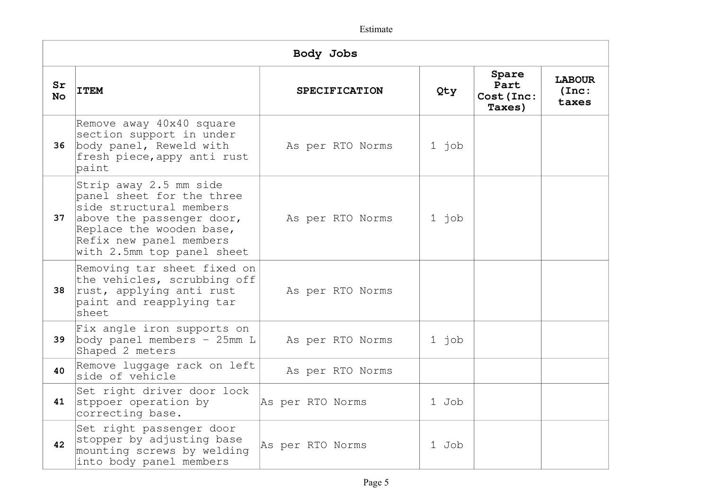| Body Jobs       |                                                                                                                                                                                                  |                  |                      |         |                                       |                                 |
|-----------------|--------------------------------------------------------------------------------------------------------------------------------------------------------------------------------------------------|------------------|----------------------|---------|---------------------------------------|---------------------------------|
| Sr<br><b>No</b> | <b>ITEM</b>                                                                                                                                                                                      |                  | <b>SPECIFICATION</b> | Qty     | Spare<br>Part<br>Cost (Inc:<br>Taxes) | <b>LABOUR</b><br>(Inc:<br>taxes |
| 36              | Remove away 40x40 square<br>section support in under<br>body panel, Reweld with<br>fresh piece, appy anti rust<br>paint                                                                          |                  | As per RTO Norms     | $1$ job |                                       |                                 |
| 37              | Strip away 2.5 mm side<br>panel sheet for the three<br>side structural members<br>above the passenger door,<br>Replace the wooden base,<br>Refix new panel members<br>with 2.5mm top panel sheet |                  | As per RTO Norms     | 1 job   |                                       |                                 |
| 38              | Removing tar sheet fixed on<br>the vehicles, scrubbing off<br>rust, applying anti rust<br>paint and reapplying tar<br>sheet                                                                      |                  | As per RTO Norms     |         |                                       |                                 |
| 39              | Fix angle iron supports on<br>body panel members $-25$ mm L<br>Shaped 2 meters                                                                                                                   |                  | As per RTO Norms     | $1$ job |                                       |                                 |
| 40              | Remove luggage rack on left<br>side of vehicle                                                                                                                                                   |                  | As per RTO Norms     |         |                                       |                                 |
| 41              | Set right driver door lock<br>stppoer operation by<br>correcting base.                                                                                                                           | As per RTO Norms |                      | 1 Job   |                                       |                                 |
| 42              | Set right passenger door<br>stopper by adjusting base<br>mounting screws by welding<br>into body panel members                                                                                   | As per RTO Norms |                      | 1 Job   |                                       |                                 |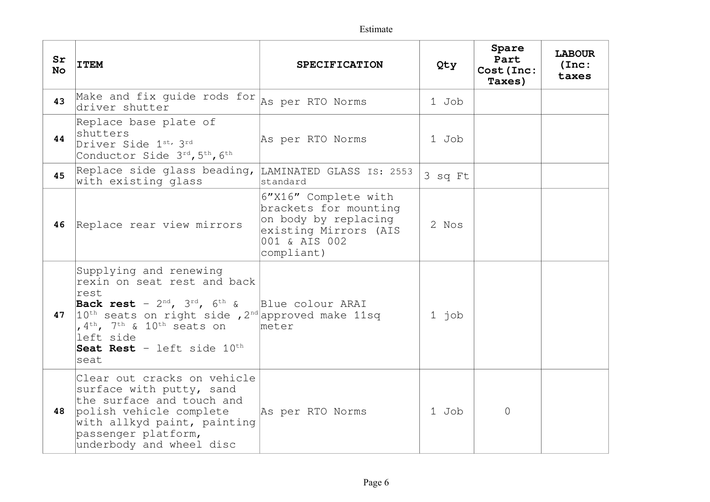| Sr<br><b>No</b> | <b>ITEM</b>                                                                                                                                                                                                                                                                                                           | <b>SPECIFICATION</b>                                                                                                          | Qty     | Spare<br>Part<br>Cost (Inc:<br>Taxes) | <b>LABOUR</b><br>(Inc:<br>taxes |
|-----------------|-----------------------------------------------------------------------------------------------------------------------------------------------------------------------------------------------------------------------------------------------------------------------------------------------------------------------|-------------------------------------------------------------------------------------------------------------------------------|---------|---------------------------------------|---------------------------------|
| 43              | Make and fix guide rods for<br>driver shutter                                                                                                                                                                                                                                                                         | As per RTO Norms                                                                                                              | 1 Job   |                                       |                                 |
| 44              | Replace base plate of<br>shutters<br>Driver Side 1st, 3rd<br>Conductor Side 3rd, 5th, 6th                                                                                                                                                                                                                             | As per RTO Norms                                                                                                              | 1 Job   |                                       |                                 |
| 45              | Replace side glass beading, LAMINATED GLASS IS: 2553<br>with existing glass                                                                                                                                                                                                                                           | standard                                                                                                                      | 3 sq Ft |                                       |                                 |
| 46              | Replace rear view mirrors                                                                                                                                                                                                                                                                                             | 6"X16" Complete with<br>brackets for mounting<br>on body by replacing<br>existing Mirrors (AIS<br>001 & AIS 002<br>compliant) | 2 Nos   |                                       |                                 |
| 47              | Supplying and renewing<br>rexin on seat rest and back<br>rest<br>Back rest - $2^{nd}$ , $3^{rd}$ , $6^{th}$ &<br>$10^{\text{th}}$ seats on right side , 2 <sup>nd</sup> approved make 11sq<br>, 4 <sup>th</sup> , 7 <sup>th</sup> & 10 <sup>th</sup> seats on<br>left side<br>Seat Rest - left side $10^{th}$<br>seat | Blue colour ARAI<br>meter                                                                                                     | $1$ job |                                       |                                 |
| 48              | Clear out cracks on vehicle<br>surface with putty, sand<br>the surface and touch and<br>polish vehicle complete<br>with allkyd paint, painting<br>passenger platform,<br>underbody and wheel disc                                                                                                                     | As per RTO Norms                                                                                                              | 1 Job   | $\Omega$                              |                                 |